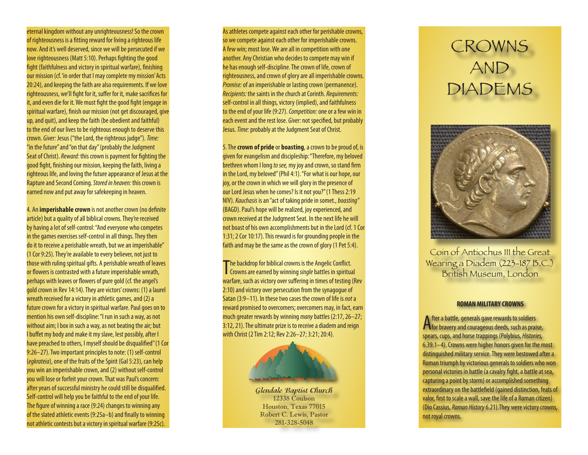eternal kingdom without any unrighteousness! So the crown of righteousness is a fitting reward for living a righteous life now. And it's well deserved, since we will be persecuted if we love righteousness (Matt 5:10). Perhaps fighting the good fight (faithfulness and victory in spiritual warfare), finishing our mission (cf. 'in order that I may complete my mission' Acts 20:24), and keeping the faith are also requirements. If we love righteousness, we'll fight for it, suffer for it, make sacrifices for it, and even die for it. We must fight the good fight (engage in spiritual warfare), finish our mission (not get discouraged, give up, and quit), and keep the faith (be obedient and faithful) to the end of our lives to be righteous enough to deserve this crown. *Giver:* Jesus ("the Lord, the righteous judge"). *Time:* "in the future" and "on that day" (probably the Judgment Seat of Christ). *Reward:* this crown is payment for fighting the good fight, finishing our mission, keeping the faith, living a righteous life, and loving the future appearance of Jesus at the Rapture and Second Coming. *Stored in heaven:* this crown is earned now and put away for safekeeping in heaven.

4. An **imperishable crown** is not another crown (no definite article) but a quality of all biblical crowns. They're received by having a lot of self-control: "And everyone who competes in the games exercises self-control in all things. They then do it to receive a perishable wreath, but we an imperishable" (1 Cor 9:25). They're available to every believer, not just to those with ruling spiritual gifts. A perishable wreath of leaves or flowers is contrasted with a future imperishable wreath, perhaps with leaves or flowers of pure gold (cf. the angel's gold crown in Rev 14:14). They are victors' crowns: (1) a laurel wreath received for a victory in athletic games, and (2) a future crown for a victory in spiritual warfare. Paul goes on to mention his own self-discipline: "I run in such a way, as not without aim; I box in such a way, as not beating the air; but I buffet my body and make it my slave, lest possibly, after I have preached to others, I myself should be disqualified" (1 Cor 9:26–27). Two important principles to note: (1) self-control (*egkrateia*), one of the fruits of the Spirit (Gal 5:23), can help you win an imperishable crown, and (2) without self-control you will lose or forfeit your crown. That was Paul's concern: after years of successful ministry he could still be disqualified. Self-control will help you be faithful to the end of your life. The figure of winning a race (9:24) changes to winning any of the slated athletic events (9:25a–b) and finally to winning not athletic contests but a victory in spiritual warfare (9:25c).

As athletes compete against each other for perishable crowns, so we compete against each other for imperishable crowns. A few win; most lose. We are all in competition with one another. Any Christian who decides to compete may win if he has enough self-discipline. The crown of life, crown of righteousness, and crown of glory are all imperishable crowns. *Promise:* of an imperishable or lasting crown (permanence). *Recipients:* the saints in the church at Corinth. *Requirements:* self-control in all things, victory (implied), and faithfulness to the end of your life (9:27). *Competition:* one or a few win in each event and the rest lose. *Giver:* not specified, but probably Jesus. *Time:* probably at the Judgment Seat of Christ.

5. The **crown of pride** or **boasting**, a crown to be proud of, is given for evangelism and discipleship: "Therefore, my beloved brethren whom I long *to see,* my joy and crown, so stand firm in the Lord, my beloved" (Phil 4:1). "For what is our hope, our joy, or the crown in which we will glory in the presence of our Lord Jesus when he comes? Is it not you?" (1 Thess 2:19 NIV). *Kauchasis* is an "act of taking pride in somet., *boasting"* (BAGD). Paul's hope will be realized, joy experienced, and crown received at the Judgment Seat. In the next life he will not boast of his own accomplishments but in the Lord (cf. 1 Cor 1:31; 2 Cor 10:17). This reward is for grounding people in the faith and may be the same as the crown of glory (1 Pet 5:4).

The backdrop for biblical crowns is the Angelic Conflict.<br>
Crowns are earned by winning *single* battles in spiritual Crowns are earned by winning *single* battles in spiritual warfare, such as victory over suffering in times of testing (Rev 2:10) and victory over persecution from the synagogue of Satan (3:9–11). In these two cases the crown of life is *not* a reward promised to overcomers; overcomers may, in fact, earn much greater rewards by winning *many* battles (2:17, 26–27; 3:12, 21). The ultimate prize is to receive a diadem and reign with Christ (2 Tim 2:12; Rev 2:26–27; 3:21; 20:4).

**Glendale Baptist Church** 12338 Coulson Houston, Texas 77015 Robert C. Lewis, Pastor 281-328-5048

# CROWNS AND DIADEMS



Coin of Antiochus III the Great Wearing a Diadem (223-187 B.C.) British Museum, London

#### **ROMAN MILITARY CROWNS**

After a battle, generals gave rewards to soldiers<br>Afor bravery and courageous deeds, such as praise, spears, cups, and horse trappings (Polybius, *Histories,* 6.39.1–4). Crowns were higher honors given for the most distinguished military service. They were bestowed after a Roman triumph by victorious generals to soldiers who won personal victories in battle (a cavalry fight, a battle at sea, capturing a point by storm) or accomplished something extraordinary on the battlefield (gained distinction, feats of valor, first to scale a wall, save the life of a Roman citizen) (Dio Cassius, *Roman History* 6.21).They were victory crowns, not royal crowns.